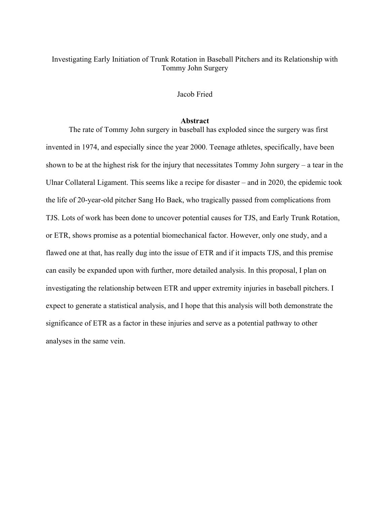# Investigating Early Initiation of Trunk Rotation in Baseball Pitchers and its Relationship with Tommy John Surgery

## Jacob Fried

#### **Abstract**

The rate of Tommy John surgery in baseball has exploded since the surgery was first invented in 1974, and especially since the year 2000. Teenage athletes, specifically, have been shown to be at the highest risk for the injury that necessitates Tommy John surgery – a tear in the Ulnar Collateral Ligament. This seems like a recipe for disaster – and in 2020, the epidemic took the life of 20-year-old pitcher Sang Ho Baek, who tragically passed from complications from TJS. Lots of work has been done to uncover potential causes for TJS, and Early Trunk Rotation, or ETR, shows promise as a potential biomechanical factor. However, only one study, and a flawed one at that, has really dug into the issue of ETR and if it impacts TJS, and this premise can easily be expanded upon with further, more detailed analysis. In this proposal, I plan on investigating the relationship between ETR and upper extremity injuries in baseball pitchers. I expect to generate a statistical analysis, and I hope that this analysis will both demonstrate the significance of ETR as a factor in these injuries and serve as a potential pathway to other analyses in the same vein.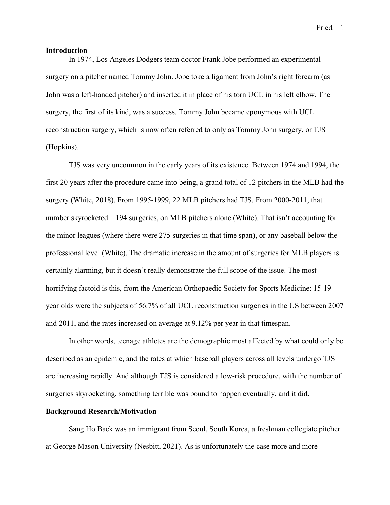Fried 1

#### **Introduction**

In 1974, Los Angeles Dodgers team doctor Frank Jobe performed an experimental surgery on a pitcher named Tommy John. Jobe toke a ligament from John's right forearm (as John was a left-handed pitcher) and inserted it in place of his torn UCL in his left elbow. The surgery, the first of its kind, was a success. Tommy John became eponymous with UCL reconstruction surgery, which is now often referred to only as Tommy John surgery, or TJS (Hopkins).

TJS was very uncommon in the early years of its existence. Between 1974 and 1994, the first 20 years after the procedure came into being, a grand total of 12 pitchers in the MLB had the surgery (White, 2018). From 1995-1999, 22 MLB pitchers had TJS. From 2000-2011, that number skyrocketed – 194 surgeries, on MLB pitchers alone (White). That isn't accounting for the minor leagues (where there were 275 surgeries in that time span), or any baseball below the professional level (White). The dramatic increase in the amount of surgeries for MLB players is certainly alarming, but it doesn't really demonstrate the full scope of the issue. The most horrifying factoid is this, from the American Orthopaedic Society for Sports Medicine: 15-19 year olds were the subjects of 56.7% of all UCL reconstruction surgeries in the US between 2007 and 2011, and the rates increased on average at 9.12% per year in that timespan.

In other words, teenage athletes are the demographic most affected by what could only be described as an epidemic, and the rates at which baseball players across all levels undergo TJS are increasing rapidly. And although TJS is considered a low-risk procedure, with the number of surgeries skyrocketing, something terrible was bound to happen eventually, and it did.

#### **Background Research/Motivation**

Sang Ho Baek was an immigrant from Seoul, South Korea, a freshman collegiate pitcher at George Mason University (Nesbitt, 2021). As is unfortunately the case more and more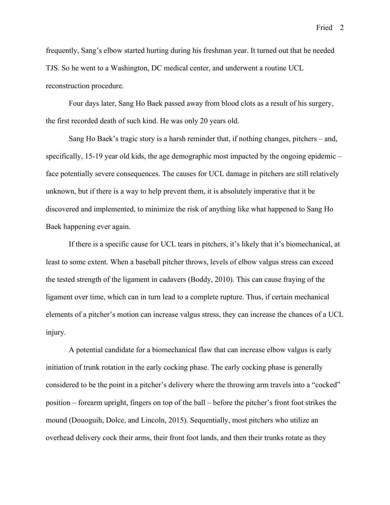frequently, Sang's elbow started hurting during his freshman year. It turned out that he needed TJS. So he went to a Washington, DC medical center, and underwent a routine UCL reconstruction procedure.

Four days later, Sang Ho Baek passed away from blood clots as a result of his surgery, the first recorded death of such kind. He was only 20 years old.

Sang Ho Baek's tragic story is a harsh reminder that, if nothing changes, pitchers – and, specifically, 15-19 year old kids, the age demographic most impacted by the ongoing epidemic – face potentially severe consequences. The causes for UCL damage in pitchers are still relatively unknown, but if there is a way to help prevent them, it is absolutely imperative that it be discovered and implemented, to minimize the risk of anything like what happened to Sang Ho Baek happening ever again.

If there is a specific cause for UCL tears in pitchers, it's likely that it's biomechanical, at least to some extent. When a baseball pitcher throws, levels of elbow valgus stress can exceed the tested strength of the ligament in cadavers (Boddy, 2010). This can cause fraying of the ligament over time, which can in turn lead to a complete rupture. Thus, if certain mechanical elements of a pitcher's motion can increase valgus stress, they can increase the chances of a UCL injury.

A potential candidate for a biomechanical flaw that can increase elbow valgus is early initiation of trunk rotation in the early cocking phase. The early cocking phase is generally considered to be the point in a pitcher's delivery where the throwing arm travels into a "cocked" position – forearm upright, fingers on top of the ball – before the pitcher's front foot strikes the mound (Douoguih, Dolce, and Lincoln, 2015). Sequentially, most pitchers who utilize an overhead delivery cock their arms, their front foot lands, and then their trunks rotate as they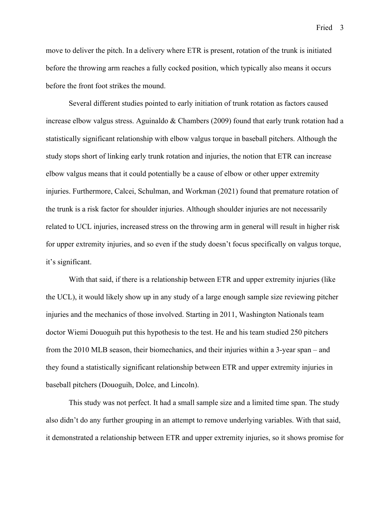Fried 3

move to deliver the pitch. In a delivery where ETR is present, rotation of the trunk is initiated before the throwing arm reaches a fully cocked position, which typically also means it occurs before the front foot strikes the mound.

Several different studies pointed to early initiation of trunk rotation as factors caused increase elbow valgus stress. Aguinaldo & Chambers (2009) found that early trunk rotation had a statistically significant relationship with elbow valgus torque in baseball pitchers. Although the study stops short of linking early trunk rotation and injuries, the notion that ETR can increase elbow valgus means that it could potentially be a cause of elbow or other upper extremity injuries. Furthermore, Calcei, Schulman, and Workman (2021) found that premature rotation of the trunk is a risk factor for shoulder injuries. Although shoulder injuries are not necessarily related to UCL injuries, increased stress on the throwing arm in general will result in higher risk for upper extremity injuries, and so even if the study doesn't focus specifically on valgus torque, it's significant.

With that said, if there is a relationship between ETR and upper extremity injuries (like the UCL), it would likely show up in any study of a large enough sample size reviewing pitcher injuries and the mechanics of those involved. Starting in 2011, Washington Nationals team doctor Wiemi Douoguih put this hypothesis to the test. He and his team studied 250 pitchers from the 2010 MLB season, their biomechanics, and their injuries within a 3-year span – and they found a statistically significant relationship between ETR and upper extremity injuries in baseball pitchers (Douoguih, Dolce, and Lincoln).

This study was not perfect. It had a small sample size and a limited time span. The study also didn't do any further grouping in an attempt to remove underlying variables. With that said, it demonstrated a relationship between ETR and upper extremity injuries, so it shows promise for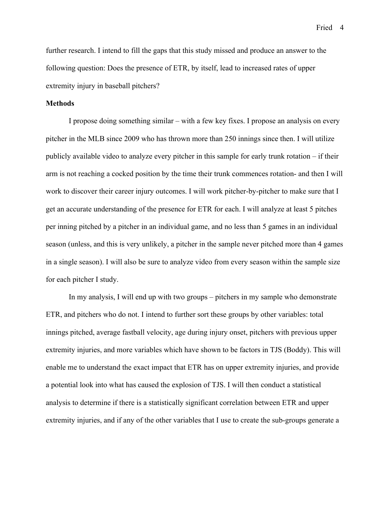Fried 4

further research. I intend to fill the gaps that this study missed and produce an answer to the following question: Does the presence of ETR, by itself, lead to increased rates of upper extremity injury in baseball pitchers?

### **Methods**

I propose doing something similar – with a few key fixes. I propose an analysis on every pitcher in the MLB since 2009 who has thrown more than 250 innings since then. I will utilize publicly available video to analyze every pitcher in this sample for early trunk rotation – if their arm is not reaching a cocked position by the time their trunk commences rotation- and then I will work to discover their career injury outcomes. I will work pitcher-by-pitcher to make sure that I get an accurate understanding of the presence for ETR for each. I will analyze at least 5 pitches per inning pitched by a pitcher in an individual game, and no less than 5 games in an individual season (unless, and this is very unlikely, a pitcher in the sample never pitched more than 4 games in a single season). I will also be sure to analyze video from every season within the sample size for each pitcher I study.

In my analysis, I will end up with two groups – pitchers in my sample who demonstrate ETR, and pitchers who do not. I intend to further sort these groups by other variables: total innings pitched, average fastball velocity, age during injury onset, pitchers with previous upper extremity injuries, and more variables which have shown to be factors in TJS (Boddy). This will enable me to understand the exact impact that ETR has on upper extremity injuries, and provide a potential look into what has caused the explosion of TJS. I will then conduct a statistical analysis to determine if there is a statistically significant correlation between ETR and upper extremity injuries, and if any of the other variables that I use to create the sub-groups generate a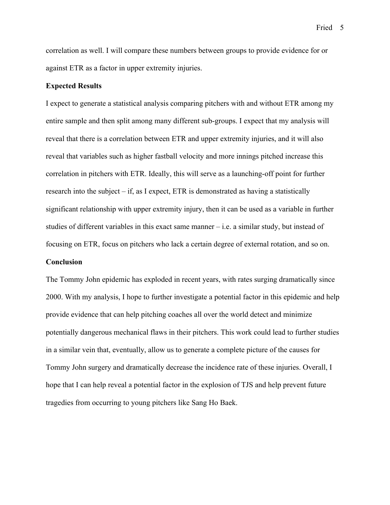correlation as well. I will compare these numbers between groups to provide evidence for or against ETR as a factor in upper extremity injuries.

### **Expected Results**

I expect to generate a statistical analysis comparing pitchers with and without ETR among my entire sample and then split among many different sub-groups. I expect that my analysis will reveal that there is a correlation between ETR and upper extremity injuries, and it will also reveal that variables such as higher fastball velocity and more innings pitched increase this correlation in pitchers with ETR. Ideally, this will serve as a launching-off point for further research into the subject – if, as I expect, ETR is demonstrated as having a statistically significant relationship with upper extremity injury, then it can be used as a variable in further studies of different variables in this exact same manner – i.e. a similar study, but instead of focusing on ETR, focus on pitchers who lack a certain degree of external rotation, and so on.

#### **Conclusion**

The Tommy John epidemic has exploded in recent years, with rates surging dramatically since 2000. With my analysis, I hope to further investigate a potential factor in this epidemic and help provide evidence that can help pitching coaches all over the world detect and minimize potentially dangerous mechanical flaws in their pitchers. This work could lead to further studies in a similar vein that, eventually, allow us to generate a complete picture of the causes for Tommy John surgery and dramatically decrease the incidence rate of these injuries. Overall, I hope that I can help reveal a potential factor in the explosion of TJS and help prevent future tragedies from occurring to young pitchers like Sang Ho Baek.

Fried 5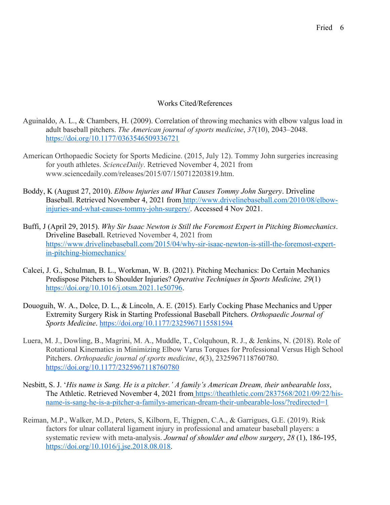## Works Cited/References

- Aguinaldo, A. L., & Chambers, H. (2009). Correlation of throwing mechanics with elbow valgus load in adult baseball pitchers. *The American journal of sports medicine*, *37*(10), 2043–2048. https://doi.org/10.1177/0363546509336721
- American Orthopaedic Society for Sports Medicine. (2015, July 12). Tommy John surgeries increasing for youth athletes. *ScienceDaily*. Retrieved November 4, 2021 from www.sciencedaily.com/releases/2015/07/150712203819.htm.
- Boddy, K (August 27, 2010). *Elbow Injuries and What Causes Tommy John Surgery*. Driveline Baseball. Retrieved November 4, 2021 from http://www.drivelinebaseball.com/2010/08/elbowinjuries-and-what-causes-tommy-john-surgery/. Accessed 4 Nov 2021.
- Buffi, J (April 29, 2015). *Why Sir Isaac Newton is Still the Foremost Expert in Pitching Biomechanics*. Driveline Baseball. Retrieved November 4, 2021 from https://www.drivelinebaseball.com/2015/04/why-sir-isaac-newton-is-still-the-foremost-expertin-pitching-biomechanics/
- Calcei, J. G., Schulman, B. L., Workman, W. B. (2021). Pitching Mechanics: Do Certain Mechanics Predispose Pitchers to Shoulder Injuries? *Operative Techniques in Sports Medicine, 29*(1) https://doi.org/10.1016/j.otsm.2021.1e50796.
- Douoguih, W. A., Dolce, D. L., & Lincoln, A. E. (2015). Early Cocking Phase Mechanics and Upper Extremity Surgery Risk in Starting Professional Baseball Pitchers. *Orthopaedic Journal of Sports Medicine*. https://doi.org/10.1177/2325967115581594
- Luera, M. J., Dowling, B., Magrini, M. A., Muddle, T., Colquhoun, R. J., & Jenkins, N. (2018). Role of Rotational Kinematics in Minimizing Elbow Varus Torques for Professional Versus High School Pitchers. *Orthopaedic journal of sports medicine*, *6*(3), 2325967118760780. https://doi.org/10.1177/2325967118760780
- Nesbitt, S. J. '*His name is Sang. He is a pitcher.' A family's American Dream, their unbearable loss*, The Athletic. Retrieved November 4, 2021 from https://theathletic.com/2837568/2021/09/22/hisname-is-sang-he-is-a-pitcher-a-familys-american-dream-their-unbearable-loss/?redirected=1
- Reiman, M.P., Walker, M.D., Peters, S, Kilborn, E, Thigpen, C.A., & Garrigues, G.E. (2019). Risk factors for ulnar collateral ligament injury in professional and amateur baseball players: a systematic review with meta-analysis. *Journal of shoulder and elbow surgery*, *28* (1), 186-195, https://doi.org/10.1016/j.jse.2018.08.018.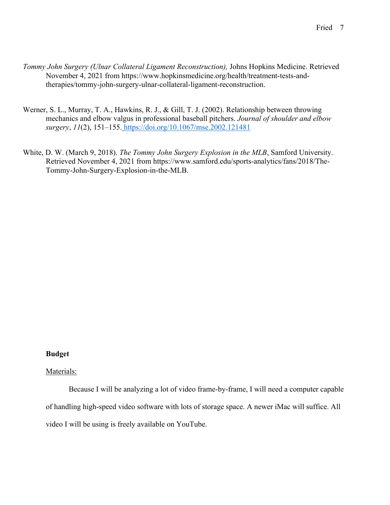- *Tommy John Surgery (Ulnar Collateral Ligament Reconstruction),* Johns Hopkins Medicine. Retrieved November 4, 2021 from https://www.hopkinsmedicine.org/health/treatment-tests-andtherapies/tommy-john-surgery-ulnar-collateral-ligament-reconstruction.
- Werner, S. L., Murray, T. A., Hawkins, R. J., & Gill, T. J. (2002). Relationship between throwing mechanics and elbow valgus in professional baseball pitchers. *Journal of shoulder and elbow surgery*, *11*(2), 151–155. https://doi.org/10.1067/mse.2002.121481
- White, D. W. (March 9, 2018). *The Tommy John Surgery Explosion in the MLB*, Samford University. Retrieved November 4, 2021 from https://www.samford.edu/sports-analytics/fans/2018/The-Tommy-John-Surgery-Explosion-in-the-MLB.

# **Budget**

# Materials:

Because I will be analyzing a lot of video frame-by-frame, I will need a computer capable of handling high-speed video software with lots of storage space. A newer iMac will suffice. All video I will be using is freely available on YouTube.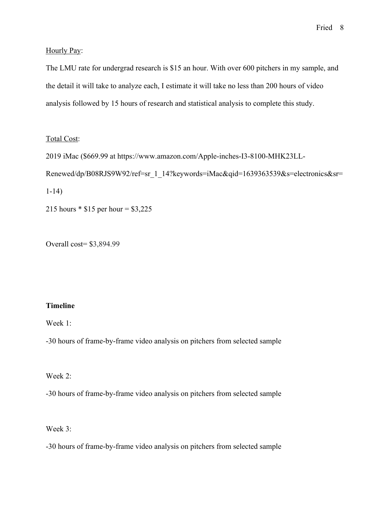Hourly Pay:

The LMU rate for undergrad research is \$15 an hour. With over 600 pitchers in my sample, and the detail it will take to analyze each, I estimate it will take no less than 200 hours of video analysis followed by 15 hours of research and statistical analysis to complete this study.

### Total Cost:

2019 iMac (\$669.99 at https://www.amazon.com/Apple-inches-I3-8100-MHK23LL-Renewed/dp/B08RJS9W92/ref=sr\_1\_14?keywords=iMac&qid=1639363539&s=electronics&sr= 1-14)

215 hours \* \$15 per hour = \$3,225

Overall cost= \$3,894.99

## **Timeline**

Week 1:

-30 hours of frame-by-frame video analysis on pitchers from selected sample

Week 2:

-30 hours of frame-by-frame video analysis on pitchers from selected sample

Week 3:

-30 hours of frame-by-frame video analysis on pitchers from selected sample